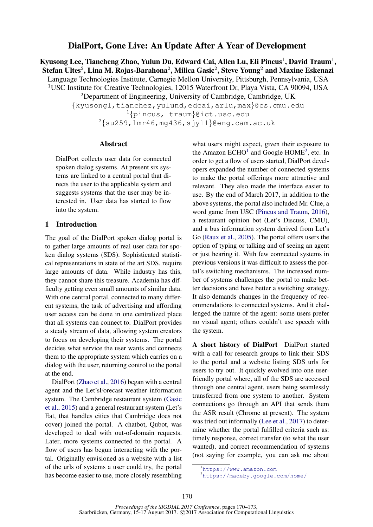# DialPort, Gone Live: An Update After A Year of Development

Kyusong Lee, Tiancheng Zhao, Yulun Du, Edward Cai, Allen Lu, Eli Pincus $^1$ , David Traum $^1,$ Stefan Ultes $^2$ , Lina M. Rojas-Barahona $^2$ , Milica Gasic $^2$ , Steve Young $^2$  and Maxine Eskenazi Language Technologies Institute, Carnegie Mellon University, Pittsburgh, Pennsylvania, USA <sup>1</sup>USC Institute for Creative Technologies, 12015 Waterfront Dr, Playa Vista, CA 90094, USA

 $2$ Department of Engineering, University of Cambridge, Cambridge, UK

{kyusongl,tianchez,yulund,edcai,arlu,max}@cs.cmu.edu <sup>1</sup>{pincus, traum}@ict.usc.edu  $2\{\text{s}u259, \text{l}m146, \text{mg}436, \text{s}jy11\}$ @eng.cam.ac.uk

### Abstract

DialPort collects user data for connected spoken dialog systems. At present six systems are linked to a central portal that directs the user to the applicable system and suggests systems that the user may be interested in. User data has started to flow into the system.

#### 1 Introduction

The goal of the DialPort spoken dialog portal is to gather large amounts of real user data for spoken dialog systems (SDS). Sophisticated statistical representations in state of the art SDS, require large amounts of data. While industry has this, they cannot share this treasure. Academia has difficulty getting even small amounts of similar data. With one central portal, connected to many different systems, the task of advertising and affording user access can be done in one centralized place that all systems can connect to. DialPort provides a steady stream of data, allowing system creators to focus on developing their systems. The portal decides what service the user wants and connects them to the appropriate system which carries on a dialog with the user, returning control to the portal at the end.

DialPort (Zhao et al., 2016) began with a central agent and the Let'sForecast weather information system. The Cambridge restaurant system (Gasic et al., 2015) and a general restaurant system (Let's Eat, that handles cities that Cambridge does not cover) joined the portal. A chatbot, Qubot, was developed to deal with out-of-domain requests. Later, more systems connected to the portal. A flow of users has begun interacting with the portal. Originally envisioned as a website with a list of the urls of systems a user could try, the portal has become easier to use, more closely resembling what users might expect, given their exposure to the Amazon  $ECHO<sup>1</sup>$  and Google  $HOME<sup>2</sup>$ , etc. In order to get a flow of users started, DialPort developers expanded the number of connected systems to make the portal offerings more attractive and relevant. They also made the interface easier to use. By the end of March 2017, in addition to the above systems, the portal also included Mr. Clue, a word game from USC (Pincus and Traum, 2016), a restaurant opinion bot (Let's Discuss, CMU), and a bus information system derived from Let's Go (Raux et al., 2005). The portal offers users the option of typing or talking and of seeing an agent or just hearing it. With few connected systems in previous versions it was difficult to assess the portal's switching mechanisms. The increased number of systems challenges the portal to make better decisions and have better a switching strategy. It also demands changes in the frequency of recommendations to connected systems. And it challenged the nature of the agent: some users prefer no visual agent; others couldn't use speech with the system.

A short history of DialPort DialPort started with a call for research groups to link their SDS to the portal and a website listing SDS urls for users to try out. It quickly evolved into one userfriendly portal where, all of the SDS are accessed through one central agent, users being seamlessly transferred from one system to another. System connections go through an API that sends them the ASR result (Chrome at present). The system was tried out informally (Lee et al., 2017) to determine whether the portal fulfilled criteria such as: timely response, correct transfer (to what the user wanted), and correct recommendation of systems (not saying for example, you can ask me about

<sup>1</sup>https://www.amazon.com

<sup>2</sup>https://madeby.google.com/home/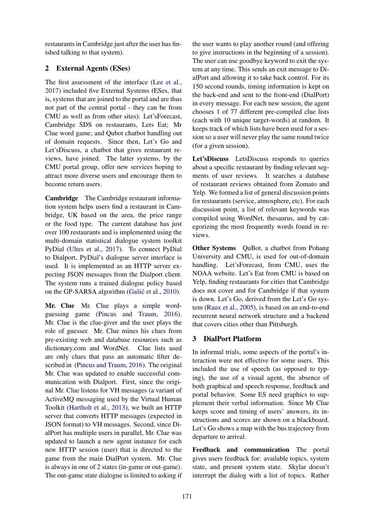restaurants in Cambridge just after the user has finished talking to that system).

# 2 External Agents (ESes)

The first assessment of the interface (Lee et al., 2017) included five External Systems (ESes, that is, systems that are joined to the portal and are thus not part of the central portal - they can be from CMU as well as from other sites): Let'sForecast, Cambridge SDS on restaurants, Lets Eat; Mr Clue word game; and Qubot chatbot handling out of domain requests. Since then, Let's Go and Let'sDiscuss, a chatbot that gives restaurant reviews, have joined. The latter systems, by the CMU portal group, offer new services hoping to attract more diverse users and encourage them to become return users.

Cambridge The Cambridge restaurant information system helps users find a restaurant in Cambridge, UK based on the area, the price range or the food type. The current database has just over 100 restaurants and is implemented using the multi-domain statistical dialogue system toolkit PyDial (Ultes et al., 2017). To connect PyDial to Dialport, PyDial's dialogue server interface is used. It is implemented as an HTTP server expecting JSON messages from the Dialport client. The system runs a trained dialogue policy based on the GP-SARSA algorithm (Gašić et al., 2010).

Mr. Clue Mr. Clue plays a simple wordguessing game (Pincus and Traum, 2016). Mr. Clue is the clue-giver and the user plays the role of guesser. Mr. Clue mines his clues from pre-existing web and database resources such as dictionary.com and WordNet. Clue lists used are only clues that pass an automatic filter described in (Pincus and Traum, 2016). The original Mr. Clue was updated to enable successful communication with Dialport. First, since the original Mr. Clue listens for VH messages (a variant of ActiveMQ messaging used by the Virtual Human Toolkit (Hartholt et al., 2013), we built an HTTP server that converts HTTP messages (expected in JSON format) to VH messages. Second, since DialPort has multiple users in parallel, Mr. Clue was updated to launch a new agent instance for each new HTTP session (user) that is directed to the game from the main DialPort system. Mr. Clue is always in one of 2 states (in-game or out-game). The out-game state dialogue is limited to asking if

the user wants to play another round (and offering to give instructions in the beginning of a session). The user can use goodbye keyword to exit the system at any time. This sends an exit message to DialPort and allowing it to take back control. For its 150 second rounds, timing information is kept on the back-end and sent to the front-end (DialPort) in every message. For each new session, the agent chooses 1 of 77 different pre-compiled clue lists (each with 10 unique target-words) at random. It keeps track of which lists have been used for a session so a user will never play the same round twice (for a given session).

Let'sDiscuss LetsDiscuss responds to queries about a specific restaurant by finding relevant segments of user reviews. It searches a database of restaurant reviews obtained from Zomato and Yelp. We formed a list of general discussion points for restaurants (service, atmosphere, etc). For each discussion point, a list of relevant keywords was compiled using WordNet, thesaurus, and by categorizing the most frequently words found in reviews.

Other Systems QuBot, a chatbot from Pohang University and CMU, is used for out-of-domain handling. Let'sForecast, from CMU, uses the NOAA website. Let's Eat from CMU is based on Yelp, finding restaurants for cities that Cambridge does not cover and for Cambridge if that system is down. Let's Go, derived from the Let's Go system (Raux et al., 2005), is based on an end-to-end recurrent neural network structure and a backend that covers cities other than Pittsburgh.

## 3 DialPort Platform

In informal trials, some aspects of the portal's interaction were not effective for some users. This included the use of speech (as opposed to typing), the use of a visual agent, the absence of both graphical and speech response, feedback and portal behavior. Some ES need graphics to supplement their verbal information. Since Mr Clue keeps score and timing of users' answers, its instructions and scores are shown on a blackboard. Let's Go shows a map with the bus trajectory from departure to arrival.

Feedback and communication The portal gives users feedback for: available topics, system state, and present system state. Skylar doesn't interrupt the dialog with a list of topics. Rather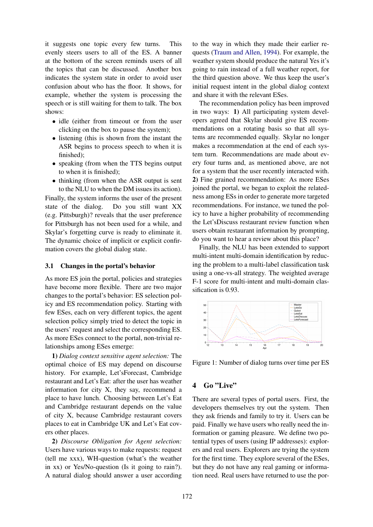it suggests one topic every few turns. This evenly steers users to all of the ES. A banner at the bottom of the screen reminds users of all the topics that can be discussed. Another box indicates the system state in order to avoid user confusion about who has the floor. It shows, for example, whether the system is processing the speech or is still waiting for them to talk. The box shows:

- idle (either from timeout or from the user clicking on the box to pause the system);
- listening (this is shown from the instant the ASR begins to process speech to when it is finished);
- speaking (from when the TTS begins output to when it is finished);
- thinking (from when the ASR output is sent to the NLU to when the DM issues its action).

Finally, the system informs the user of the present state of the dialog. Do you still want XX (e.g. Pittsburgh)? reveals that the user preference for Pittsburgh has not been used for a while, and Skylar's forgetting curve is ready to eliminate it. The dynamic choice of implicit or explicit confirmation covers the global dialog state.

#### 3.1 Changes in the portal's behavior

As more ES join the portal, policies and strategies have become more flexible. There are two major changes to the portal's behavior: ES selection policy and ES recommendation policy. Starting with few ESes, each on very different topics, the agent selection policy simply tried to detect the topic in the users' request and select the corresponding ES. As more ESes connect to the portal, non-trivial relationships among ESes emerge:

1) *Dialog context sensitive agent selection:* The optimal choice of ES may depend on discourse history. For example, Let'sForecast, Cambridge restaurant and Let's Eat: after the user has weather information for city X, they say, recommend a place to have lunch. Choosing between Let's Eat and Cambridge restaurant depends on the value of city X, because Cambridge restaurant covers places to eat in Cambridge UK and Let's Eat covers other places.

2) *Discourse Obligation for Agent selection:* Users have various ways to make requests: request (tell me xxx), WH-question (what's the weather in xx) or Yes/No-question (Is it going to rain?). A natural dialog should answer a user according

to the way in which they made their earlier requests (Traum and Allen, 1994). For example, the weather system should produce the natural Yes it's going to rain instead of a full weather report, for the third question above. We thus keep the user's initial request intent in the global dialog context and share it with the relevant ESes.

The recommendation policy has been improved in two ways: 1) All participating system developers agreed that Skylar should give ES recommendations on a rotating basis so that all systems are recommended equally. Skylar no longer makes a recommendation at the end of each system turn. Recommendations are made about every four turns and, as mentioned above, are not for a system that the user recently interacted with. 2) Fine grained recommendation: As more ESes joined the portal, we began to exploit the relatedness among ESs in order to generate more targeted recommendations. For instance, we tuned the policy to have a higher probability of recommending the Let'sDiscuss restaurant review function when users obtain restaurant information by prompting, do you want to hear a review about this place?

Finally, the NLU has been extended to support multi-intent multi-domain identification by reducing the problem to a multi-label classification task using a one-vs-all strategy. The weighted average F-1 score for multi-intent and multi-domain classification is 0.93.



Figure 1: Number of dialog turns over time per ES

## 4 Go "Live"

There are several types of portal users. First, the developers themselves try out the system. Then they ask friends and family to try it. Users can be paid. Finally we have users who really need the information or gaming pleasure. We define two potential types of users (using IP addresses): explorers and real users. Explorers are trying the system for the first time. They explore several of the ESes, but they do not have any real gaming or information need. Real users have returned to use the por